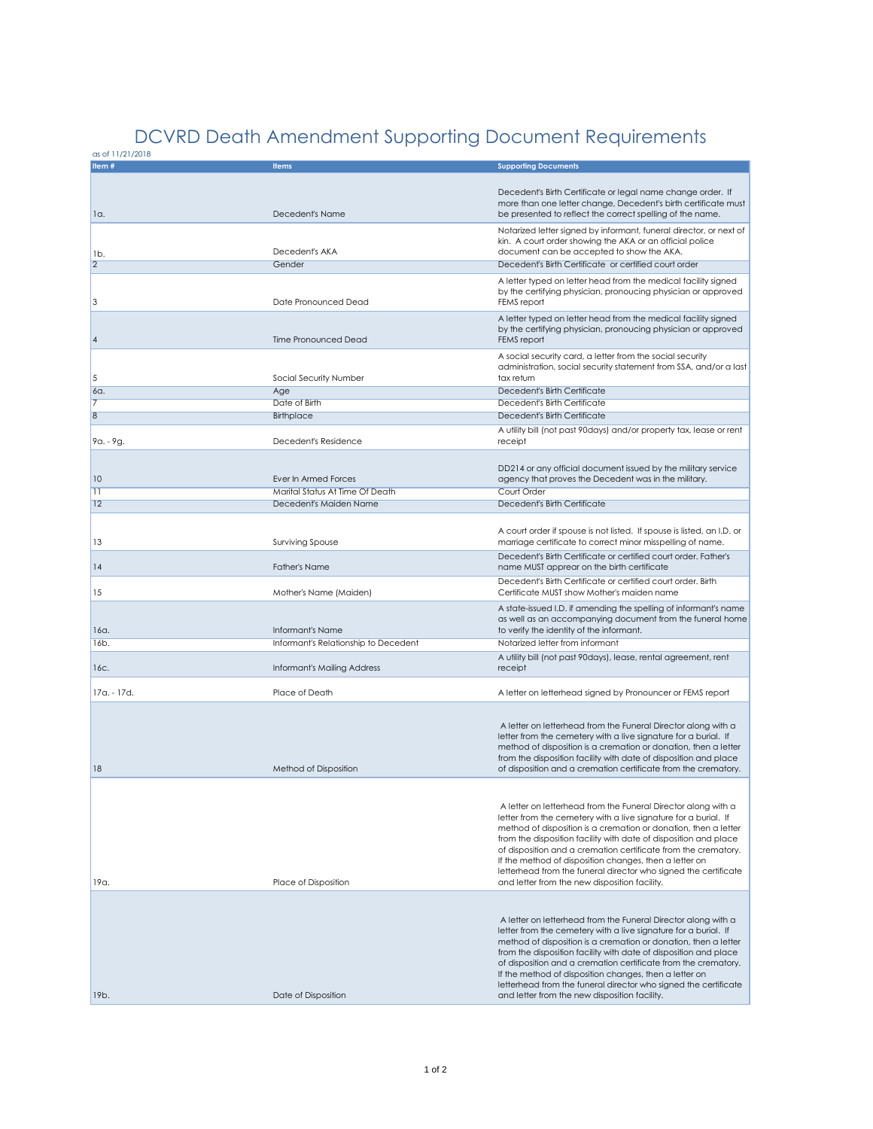## DCVRD Death Amendment Supporting Document Requirements

as of 11/21/2018

| <u>USULTIZZIZUM</u> |                                      |                                                                                                                                 |
|---------------------|--------------------------------------|---------------------------------------------------------------------------------------------------------------------------------|
| Item#               | <b>Items</b>                         | <b>Supporting Documents</b>                                                                                                     |
|                     |                                      |                                                                                                                                 |
|                     |                                      | Decedent's Birth Certificate or legal name change order. If                                                                     |
|                     |                                      | more than one letter change, Decedent's birth certificate must                                                                  |
| 1a.                 | Decedent's Name                      | be presented to reflect the correct spelling of the name.                                                                       |
|                     |                                      |                                                                                                                                 |
|                     |                                      | Notarized letter signed by informant, funeral director, or next of                                                              |
|                     |                                      | kin. A court order showing the AKA or an official police                                                                        |
| 1b.                 | Decedent's AKA                       | document can be accepted to show the AKA.                                                                                       |
| $\overline{2}$      | Gender                               | Decedent's Birth Certificate or certified court order                                                                           |
|                     |                                      |                                                                                                                                 |
|                     |                                      | A letter typed on letter head from the medical facility signed<br>by the certifying physician, pronoucing physician or approved |
| 3                   | Date Pronounced Dead                 | FEMS report                                                                                                                     |
|                     |                                      |                                                                                                                                 |
|                     |                                      | A letter typed on letter head from the medical facility signed                                                                  |
|                     |                                      | by the certifying physician, pronoucing physician or approved                                                                   |
| 4                   | <b>Time Pronounced Dead</b>          | FEMS report                                                                                                                     |
|                     |                                      | A social security card, a letter from the social security                                                                       |
|                     |                                      | administration, social security statement from SSA, and/or a last                                                               |
| 5                   |                                      | tax return                                                                                                                      |
|                     | Social Security Number               |                                                                                                                                 |
| 6a.                 | Age                                  | Decedent's Birth Certificate                                                                                                    |
|                     | Date of Birth                        | Decedent's Birth Certificate                                                                                                    |
| $\overline{8}$      | <b>Birthplace</b>                    | Decedent's Birth Certificate                                                                                                    |
|                     |                                      |                                                                                                                                 |
|                     | Decedent's Residence                 | A utility bill (not past 90days) and/or property tax, lease or rent                                                             |
| $9a. - 9g.$         |                                      | receipt                                                                                                                         |
|                     |                                      |                                                                                                                                 |
|                     |                                      | DD214 or any official document issued by the military service                                                                   |
| 10                  | Ever In Armed Forces                 | agency that proves the Decedent was in the military.                                                                            |
| $\overline{11}$     | Marital Status At Time Of Death      | Court Order                                                                                                                     |
| 12                  | Decedent's Maiden Name               | Decedent's Birth Certificate                                                                                                    |
|                     |                                      |                                                                                                                                 |
|                     |                                      |                                                                                                                                 |
|                     |                                      | A court order if spouse is not listed. If spouse is listed, an I.D. or                                                          |
| 13                  | <b>Surviving Spouse</b>              | marriage certificate to correct minor misspelling of name.                                                                      |
|                     |                                      | Decedent's Birth Certificate or certified court order. Father's                                                                 |
| 4                   | <b>Father's Name</b>                 | name MUST apprear on the birth certificate                                                                                      |
|                     |                                      |                                                                                                                                 |
| 15                  |                                      | Decedent's Birth Certificate or certified court order. Birth                                                                    |
|                     | Mother's Name (Maiden)               | Certificate MUST show Mother's maiden name                                                                                      |
|                     |                                      | A state-issued I.D. if amending the spelling of informant's name                                                                |
|                     |                                      | as well as an accompanying document from the funeral home                                                                       |
| 16a.                | Informant's Name                     | to verify the identity of the informant.                                                                                        |
| 16b.                | Informant's Relationship to Decedent | Notarized letter from informant                                                                                                 |
|                     |                                      | A utility bill (not past 90days), lease, rental agreement, rent                                                                 |
| 16c.                | Informant's Mailing Address          | receipt                                                                                                                         |
|                     |                                      |                                                                                                                                 |
| 17a. - 17d.         | Place of Death                       | A letter on letterhead signed by Pronouncer or FEMS report                                                                      |
|                     |                                      |                                                                                                                                 |
|                     |                                      |                                                                                                                                 |
|                     |                                      | A letter on letterhead from the Funeral Director along with a                                                                   |
|                     |                                      | letter from the cemetery with a live signature for a burial. If                                                                 |
|                     |                                      | method of disposition is a cremation or donation, then a letter                                                                 |
|                     |                                      | from the disposition facility with date of disposition and place                                                                |
| 18                  |                                      |                                                                                                                                 |
|                     | Method of Disposition                | of disposition and a cremation certificate from the crematory.                                                                  |
|                     |                                      |                                                                                                                                 |
|                     |                                      |                                                                                                                                 |
|                     |                                      | A letter on letterhead from the Funeral Director along with a                                                                   |
|                     |                                      | letter from the cemetery with a live signature for a burial. If                                                                 |
|                     |                                      | method of disposition is a cremation or donation, then a letter                                                                 |
|                     |                                      | from the disposition facility with date of disposition and place                                                                |
|                     |                                      | of disposition and a cremation certificate from the crematory.                                                                  |
|                     |                                      | If the method of disposition changes, then a letter on                                                                          |
|                     |                                      | letterhead from the funeral director who signed the certificate                                                                 |
| 19a.                | Place of Disposition                 | and letter from the new disposition facility.                                                                                   |
|                     |                                      |                                                                                                                                 |
|                     |                                      |                                                                                                                                 |
|                     |                                      |                                                                                                                                 |
|                     |                                      | A letter on letterhead from the Funeral Director along with a                                                                   |
|                     |                                      | letter from the cemetery with a live signature for a burial. If                                                                 |
|                     |                                      | method of disposition is a cremation or donation, then a letter                                                                 |
|                     |                                      | from the disposition facility with date of disposition and place                                                                |
|                     |                                      | of disposition and a cremation certificate from the crematory.                                                                  |
|                     |                                      | If the method of disposition changes, then a letter on                                                                          |
|                     |                                      | letterhead from the funeral director who signed the certificate                                                                 |
| 19b.                | Date of Disposition                  | and letter from the new disposition facility.                                                                                   |